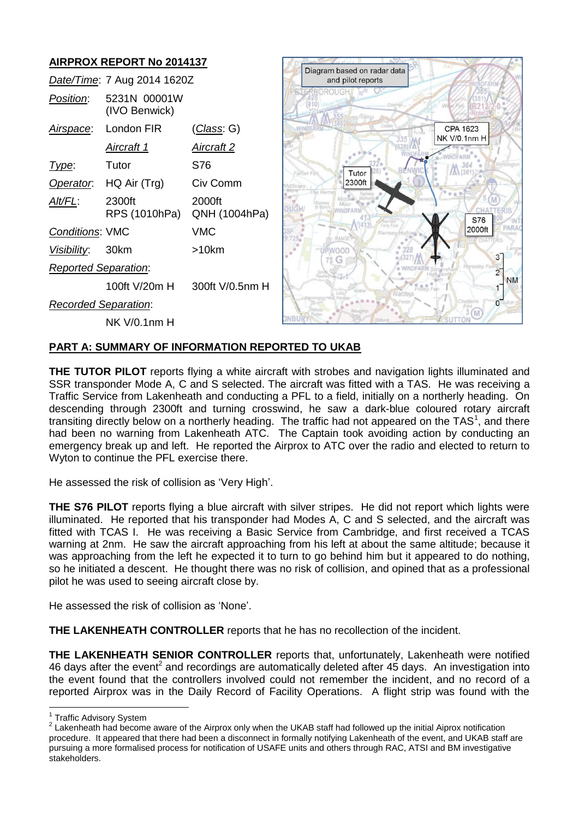

# **PART A: SUMMARY OF INFORMATION REPORTED TO UKAB**

**THE TUTOR PILOT** reports flying a white aircraft with strobes and navigation lights illuminated and SSR transponder Mode A, C and S selected. The aircraft was fitted with a TAS. He was receiving a Traffic Service from Lakenheath and conducting a PFL to a field, initially on a northerly heading. On descending through 2300ft and turning crosswind, he saw a dark-blue coloured rotary aircraft transiting directly below on a northerly heading. The traffic had not appeared on the TAS<sup>1</sup>, and there had been no warning from Lakenheath ATC. The Captain took avoiding action by conducting an emergency break up and left. He reported the Airprox to ATC over the radio and elected to return to Wyton to continue the PFL exercise there.

He assessed the risk of collision as 'Very High'.

**THE S76 PILOT** reports flying a blue aircraft with silver stripes. He did not report which lights were illuminated. He reported that his transponder had Modes A, C and S selected, and the aircraft was fitted with TCAS I. He was receiving a Basic Service from Cambridge, and first received a TCAS warning at 2nm. He saw the aircraft approaching from his left at about the same altitude; because it was approaching from the left he expected it to turn to go behind him but it appeared to do nothing, so he initiated a descent. He thought there was no risk of collision, and opined that as a professional pilot he was used to seeing aircraft close by.

He assessed the risk of collision as 'None'.

**THE LAKENHEATH CONTROLLER** reports that he has no recollection of the incident.

**THE LAKENHEATH SENIOR CONTROLLER** reports that, unfortunately, Lakenheath were notified 46 days after the event<sup>2</sup> and recordings are automatically deleted after 45 days. An investigation into the event found that the controllers involved could not remember the incident, and no record of a reported Airprox was in the Daily Record of Facility Operations. A flight strip was found with the

 1 Traffic Advisory System

 $2$  Lakenheath had become aware of the Airprox only when the UKAB staff had followed up the initial Aiprox notification procedure. It appeared that there had been a disconnect in formally notifying Lakenheath of the event, and UKAB staff are pursuing a more formalised process for notification of USAFE units and others through RAC, ATSI and BM investigative stakeholders.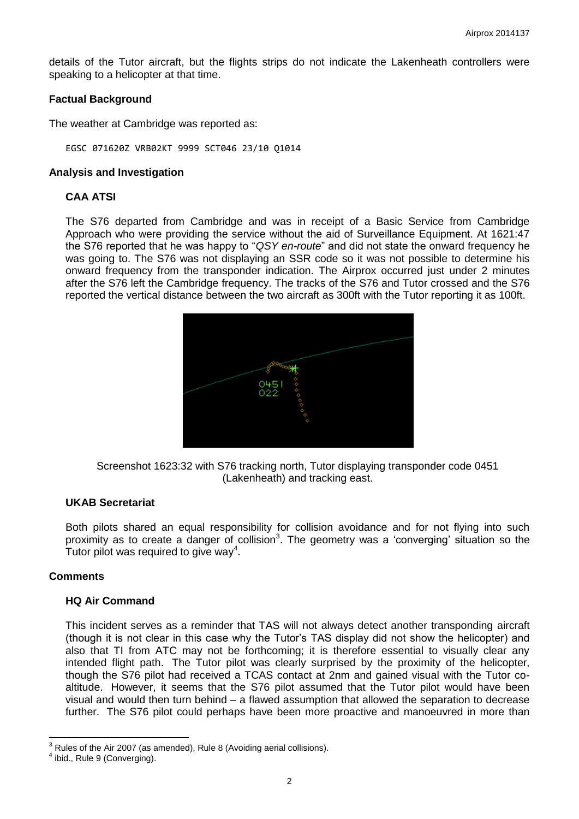details of the Tutor aircraft, but the flights strips do not indicate the Lakenheath controllers were speaking to a helicopter at that time.

### **Factual Background**

The weather at Cambridge was reported as:

EGSC 071620Z VRB02KT 9999 SCT046 23/10 Q1014

#### **Analysis and Investigation**

### **CAA ATSI**

The S76 departed from Cambridge and was in receipt of a Basic Service from Cambridge Approach who were providing the service without the aid of Surveillance Equipment. At 1621:47 the S76 reported that he was happy to "*QSY en-route*" and did not state the onward frequency he was going to. The S76 was not displaying an SSR code so it was not possible to determine his onward frequency from the transponder indication. The Airprox occurred just under 2 minutes after the S76 left the Cambridge frequency. The tracks of the S76 and Tutor crossed and the S76 reported the vertical distance between the two aircraft as 300ft with the Tutor reporting it as 100ft.



Screenshot 1623:32 with S76 tracking north, Tutor displaying transponder code 0451 (Lakenheath) and tracking east.

# **UKAB Secretariat**

Both pilots shared an equal responsibility for collision avoidance and for not flying into such proximity as to create a danger of collision<sup>3</sup>. The geometry was a 'converging' situation so the Tutor pilot was required to give way<sup>4</sup>.

#### **Comments**

### **HQ Air Command**

This incident serves as a reminder that TAS will not always detect another transponding aircraft (though it is not clear in this case why the Tutor's TAS display did not show the helicopter) and also that TI from ATC may not be forthcoming; it is therefore essential to visually clear any intended flight path. The Tutor pilot was clearly surprised by the proximity of the helicopter, though the S76 pilot had received a TCAS contact at 2nm and gained visual with the Tutor coaltitude. However, it seems that the S76 pilot assumed that the Tutor pilot would have been visual and would then turn behind – a flawed assumption that allowed the separation to decrease further. The S76 pilot could perhaps have been more proactive and manoeuvred in more than

 $\overline{\phantom{a}}$ 

 $3$  Rules of the Air 2007 (as amended), Rule 8 (Avoiding aerial collisions).

<sup>&</sup>lt;sup>4</sup> ibid., Rule 9 (Converging).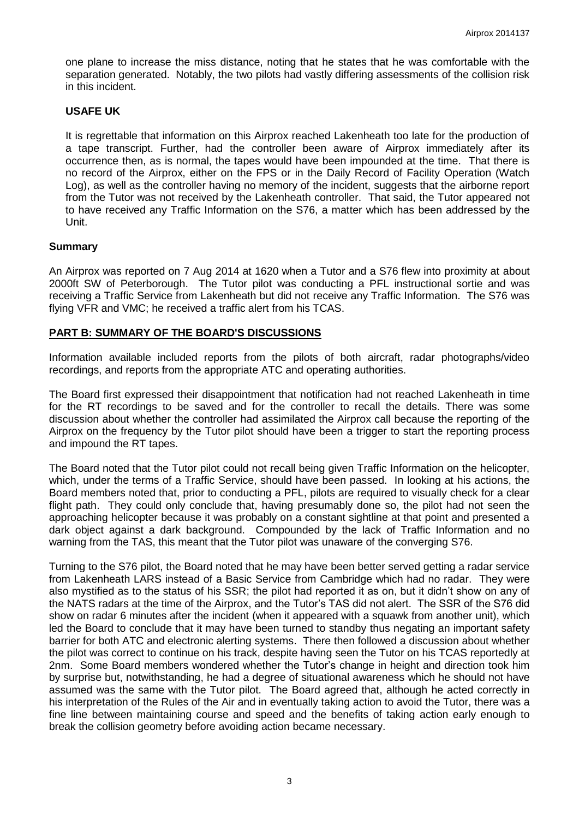one plane to increase the miss distance, noting that he states that he was comfortable with the separation generated. Notably, the two pilots had vastly differing assessments of the collision risk in this incident.

# **USAFE UK**

It is regrettable that information on this Airprox reached Lakenheath too late for the production of a tape transcript. Further, had the controller been aware of Airprox immediately after its occurrence then, as is normal, the tapes would have been impounded at the time. That there is no record of the Airprox, either on the FPS or in the Daily Record of Facility Operation (Watch Log), as well as the controller having no memory of the incident, suggests that the airborne report from the Tutor was not received by the Lakenheath controller. That said, the Tutor appeared not to have received any Traffic Information on the S76, a matter which has been addressed by the Unit.

# **Summary**

An Airprox was reported on 7 Aug 2014 at 1620 when a Tutor and a S76 flew into proximity at about 2000ft SW of Peterborough. The Tutor pilot was conducting a PFL instructional sortie and was receiving a Traffic Service from Lakenheath but did not receive any Traffic Information. The S76 was flying VFR and VMC; he received a traffic alert from his TCAS.

# **PART B: SUMMARY OF THE BOARD'S DISCUSSIONS**

Information available included reports from the pilots of both aircraft, radar photographs/video recordings, and reports from the appropriate ATC and operating authorities.

The Board first expressed their disappointment that notification had not reached Lakenheath in time for the RT recordings to be saved and for the controller to recall the details. There was some discussion about whether the controller had assimilated the Airprox call because the reporting of the Airprox on the frequency by the Tutor pilot should have been a trigger to start the reporting process and impound the RT tapes.

The Board noted that the Tutor pilot could not recall being given Traffic Information on the helicopter, which, under the terms of a Traffic Service, should have been passed. In looking at his actions, the Board members noted that, prior to conducting a PFL, pilots are required to visually check for a clear flight path. They could only conclude that, having presumably done so, the pilot had not seen the approaching helicopter because it was probably on a constant sightline at that point and presented a dark object against a dark background. Compounded by the lack of Traffic Information and no warning from the TAS, this meant that the Tutor pilot was unaware of the converging S76.

Turning to the S76 pilot, the Board noted that he may have been better served getting a radar service from Lakenheath LARS instead of a Basic Service from Cambridge which had no radar. They were also mystified as to the status of his SSR; the pilot had reported it as on, but it didn't show on any of the NATS radars at the time of the Airprox, and the Tutor's TAS did not alert. The SSR of the S76 did show on radar 6 minutes after the incident (when it appeared with a squawk from another unit), which led the Board to conclude that it may have been turned to standby thus negating an important safety barrier for both ATC and electronic alerting systems. There then followed a discussion about whether the pilot was correct to continue on his track, despite having seen the Tutor on his TCAS reportedly at 2nm. Some Board members wondered whether the Tutor's change in height and direction took him by surprise but, notwithstanding, he had a degree of situational awareness which he should not have assumed was the same with the Tutor pilot. The Board agreed that, although he acted correctly in his interpretation of the Rules of the Air and in eventually taking action to avoid the Tutor, there was a fine line between maintaining course and speed and the benefits of taking action early enough to break the collision geometry before avoiding action became necessary.